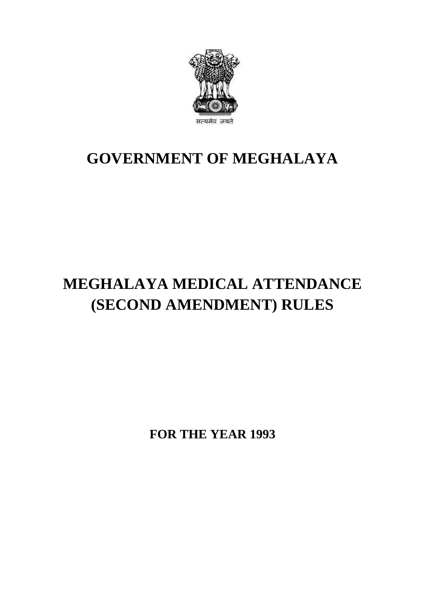

## **GOVERNMENT OF MEGHALAYA**

# **MEGHALAYA MEDICAL ATTENDANCE (SECOND AMENDMENT) RULES**

**FOR THE YEAR 1993**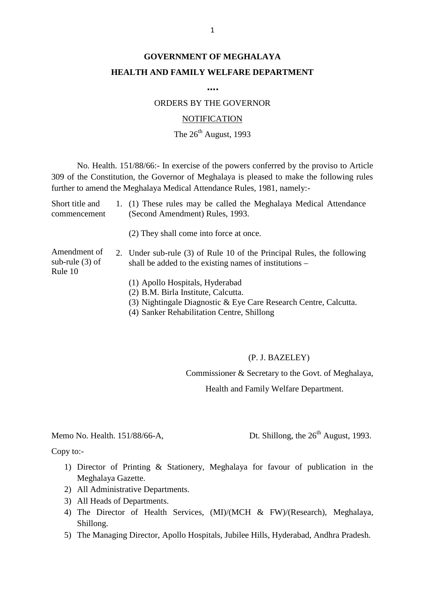## **GOVERNMENT OF MEGHALAYA HEALTH AND FAMILY WELFARE DEPARTMENT**

**….**

ORDERS BY THE GOVERNOR

#### **NOTIFICATION**

### The  $26<sup>th</sup>$  August, 1993

No. Health. 151/88/66:- In exercise of the powers conferred by the proviso to Article 309 of the Constitution, the Governor of Meghalaya is pleased to make the following rules further to amend the Meghalaya Medical Attendance Rules, 1981, namely:- No. Health. 151/88/66:- In exercise of the powers conferred by the proviso to Article<br>309 of the Constitution, the Governor of Meghalaya is pleased to make the following rules<br>further to amend the Meghalaya Medical Attenda

No. Health. 151/88/66:- In exercise of the powers con<br>309 of the Constitution, the Governor of Meghalaya is pleas<br>further to amend the Meghalaya Medical Attendance Rules, 19<br>Short title and 1. (1) These rules may be called (2) They shall come into force at once. Short title and 1. (1) These rules may be called the Meghalaya Medical Attendance<br>commencement (Second Amendment) Rules, 1993.<br>(2) They shall come into force at once.<br>Amendment of 2. Under sub-rule (3) of Rule 10 of the Pr sub-rule (3) of shall be added to the existing names of institutions – Rule 10 (2) They shall come into force at once.<br>
Under sub-rule (3) of Rule 10 of the Prin<br>
shall be added to the existing names of ins<br>
(1) Apollo Hospitals, Hyderabad<br>
(2) B.M. Birla Institute, Calcutta.<br>
(2) N.L. Linkeled in t Under sub-rule (3) of Rule 10 of the<br>shall be added to the existing names of<br>(1) Apollo Hospitals, Hyderabad<br>(2) B.M. Birla Institute, Calcutta.<br>(3) Nightingale Diagnostic & Eye Car Under sub-rule (3) of Rule 10 of the Principal Rules, the following<br>shall be added to the existing names of institutions –<br>(1) Apollo Hospitals, Hyderabad<br>(2) B.M. Birla Institute, Calcutta.<br>(3) Nightingale Diagnostic & Ey shall be added to the existing names of institutions (1) Apollo Hospitals, Hyderabad<br>(2) B.M. Birla Institute, Calcutta.<br>(3) Nightingale Diagnostic & Eye Care Research C<br>(4) Sanker Rehabilitation Centre, Shillong

- 
- 

#### (P. J. BAZELEY)

Commissioner & Secretary to the Govt. of Meghalaya,

Health and Family Welfare Department. Memo No. Health. 151/88/66-A, Dt. Shillong, the 26<sup>th</sup> August, 1993.<br>
Copy to:-

Copy to:-

- 1) Director of Printing & Stationery, Meghalaya for favour of publication in the Meghalaya Gazette. Meghalaya Gazette. 2) All Administrative Departments.<br>
2) All Administrative Departments.<br>
2) All Administrative Departments. by to:-<br>
1) Director of Printing & Statio<br>
Meghalaya Gazette.<br>
2) All Administrative Department<br>
3) All Heads of Departments.<br>
4) The Director of Health Ser
- 
- 
- 4) Director of Printing & Stationery, Meghalaya for favour of publication in the<br>Meghalaya Gazette.<br>2) All Administrative Departments.<br>3) All Heads of Departments.<br>4) The Director of Health Services, (MI)/(MCH & FW)/(Rese Shillong. 5) All Administrative Departments.<br>
5) All Heads of Departments.<br>
4) The Director of Health Services, (MI)/(MCH & FW)/(Research), Meghalaya<br>
5) The Managing Director, Apollo Hospitals, Jubilee Hills, Hyderabad, Andhra Prad
-